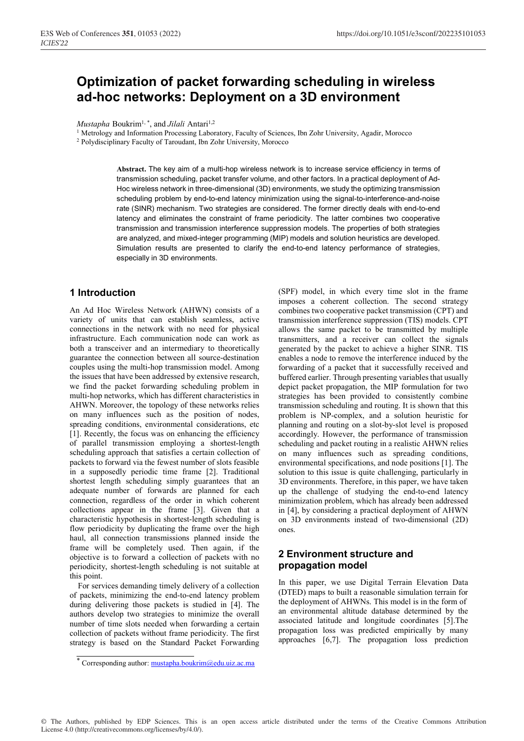# **Optimization of packet forwarding scheduling in wireless ad-hoc networks: Deployment on a 3D environment**

*Mustapha* Boukrim<sup>1,\*</sup>, and *Jilali* Antari<sup>1,2</sup>

1 Metrology and Information Processing Laboratory, Faculty of Sciences, Ibn Zohr University, Agadir, Morocco

2 Polydisciplinary Faculty of Taroudant, Ibn Zohr University, Morocco

**Abstract.** The key aim of a multi-hop wireless network is to increase service efficiency in terms of transmission scheduling, packet transfer volume, and other factors. In a practical deployment of Ad-Hoc wireless network in three-dimensional (3D) environments, we study the optimizing transmission scheduling problem by end-to-end latency minimization using the signal-to-interference-and-noise rate (SINR) mechanism. Two strategies are considered. The former directly deals with end-to-end latency and eliminates the constraint of frame periodicity. The latter combines two cooperative transmission and transmission interference suppression models. The properties of both strategies are analyzed, and mixed-integer programming (MIP) models and solution heuristics are developed. Simulation results are presented to clarify the end-to-end latency performance of strategies, especially in 3D environments.

## **1 Introduction**

An Ad Hoc Wireless Network (AHWN) consists of a variety of units that can establish seamless, active connections in the network with no need for physical infrastructure. Each communication node can work as both a transceiver and an intermediary to theoretically guarantee the connection between all source-destination couples using the multi-hop transmission model. Among the issues that have been addressed by extensive research, we find the packet forwarding scheduling problem in multi-hop networks, which has different characteristics in AHWN. Moreover, the topology of these networks relies on many influences such as the position of nodes, spreading conditions, environmental considerations, etc [1]. Recently, the focus was on enhancing the efficiency of parallel transmission employing a shortest-length scheduling approach that satisfies a certain collection of packets to forward via the fewest number of slots feasible in a supposedly periodic time frame [2]. Traditional shortest length scheduling simply guarantees that an adequate number of forwards are planned for each connection, regardless of the order in which coherent collections appear in the frame [3]. Given that a characteristic hypothesis in shortest-length scheduling is flow periodicity by duplicating the frame over the high haul, all connection transmissions planned inside the frame will be completely used. Then again, if the objective is to forward a collection of packets with no periodicity, shortest-length scheduling is not suitable at this point.

 For services demanding timely delivery of a collection of packets, minimizing the end-to-end latency problem during delivering those packets is studied in [4]. The authors develop two strategies to minimize the overall number of time slots needed when forwarding a certain collection of packets without frame periodicity. The first strategy is based on the Standard Packet Forwarding

\* Corresponding author: mustapha.boukrim@edu.uiz.ac.ma

(SPF) model, in which every time slot in the frame imposes a coherent collection. The second strategy combines two cooperative packet transmission (CPT) and transmission interference suppression (TIS) models. CPT allows the same packet to be transmitted by multiple transmitters, and a receiver can collect the signals generated by the packet to achieve a higher SINR. TIS enables a node to remove the interference induced by the forwarding of a packet that it successfully received and buffered earlier. Through presenting variables that usually depict packet propagation, the MIP formulation for two strategies has been provided to consistently combine transmission scheduling and routing. It is shown that this problem is NP-complex, and a solution heuristic for planning and routing on a slot-by-slot level is proposed accordingly. However, the performance of transmission scheduling and packet routing in a realistic AHWN relies on many influences such as spreading conditions, environmental specifications, and node positions [1]. The solution to this issue is quite challenging, particularly in 3D environments. Therefore, in this paper, we have taken up the challenge of studying the end-to-end latency minimization problem, which has already been addressed in [4], by considering a practical deployment of AHWN on 3D environments instead of two-dimensional (2D) ones.

# **2 Environment structure and propagation model**

In this paper, we use Digital Terrain Elevation Data (DTED) maps to built a reasonable simulation terrain for the deployment of AHWNs. This model is in the form of an environmental altitude database determined by the associated latitude and longitude coordinates [5].The propagation loss was predicted empirically by many approaches [6,7]. The propagation loss prediction

© The Authors, published by EDP Sciences. This is an open access article distributed under the terms of the Creative Commons Attribution License 4.0 (http://creativecommons.org/licenses/by/4.0/).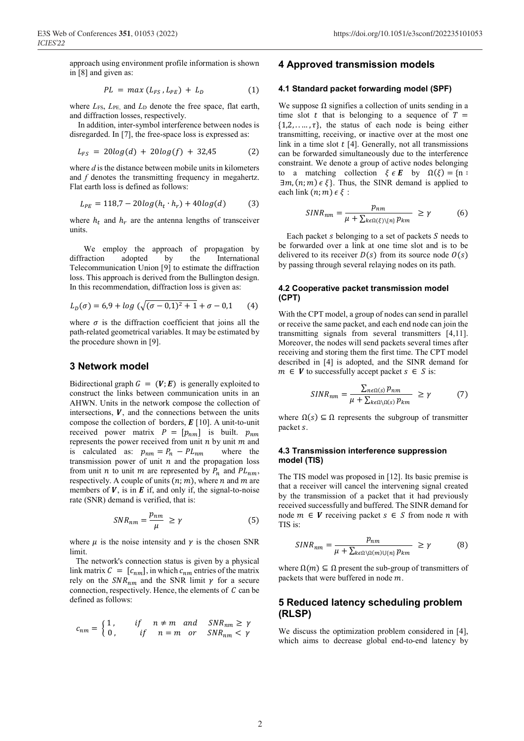approach using environment profile information is shown in [8] and given as:

$$
PL = max (L_{FS}, L_{PE}) + L_D \qquad (1)
$$

where  $L_{FS}$ ,  $L_{PE}$ , and  $L_D$  denote the free space, flat earth, and diffraction losses, respectively.

 In addition, inter-symbol interference between nodes is disregarded. In [7], the free-space loss is expressed as:

$$
L_{FS} = 20log(d) + 20log(f) + 32,45
$$
 (2)

where *d* is the distance between mobile units in kilometers and *f* denotes the transmitting frequency in megahertz. Flat earth loss is defined as follows:

$$
L_{PE} = 118,7 - 20\log(h_t \cdot h_r) + 40\log(d) \tag{3}
$$

where  $h_t$  and  $h_r$  are the antenna lengths of transceiver units.

 We employ the approach of propagation by diffraction adopted by the International Telecommunication Union [9] to estimate the diffraction loss. This approach is derived from the Bullington design. In this recommendation, diffraction loss is given as:

$$
L_D(\sigma) = 6.9 + \log \left( \sqrt{(\sigma - 0.1)^2 + 1} + \sigma - 0.1 \right) \tag{4}
$$

where  $\sigma$  is the diffraction coefficient that joins all the path-related geometrical variables. It may be estimated by the procedure shown in [9].

## **3 Network model**

Bidirectional graph  $G = (V; E)$  is generally exploited to construct the links between communication units in an AHWN. Units in the network compose the collection of intersections,  $V$ , and the connections between the units compose the collection of borders,  $E$  [10]. A unit-to-unit received power matrix  $P = [p_{nm}]$  is built.  $p_{nm}$ represents the power received from unit *n* by unit *m* and<br>is calculated as:  $p_{nm} = P_n - PL_{nm}$  where the is calculated as:  $p_{nm} = P_n - PL_{nm}$ transmission power of unit  $n$  and the propagation loss from unit *n* to unit *m* are represented by  $P_n$  and  $PL_{nm}$ , respectively. A couple of units  $(n; m)$ , where *n* and *m* are members of  $V$ , is in  $E$  if, and only if, the signal-to-noise rate (SNR) demand is verified, that is:

$$
SNR_{nm} = \frac{p_{nm}}{\mu} \ge \gamma \tag{5}
$$

where  $\mu$  is the noise intensity and  $\gamma$  is the chosen SNR limit.

 The network's connection status is given by a physical link matrix  $C = [c_{nm}]$ , in which  $c_{nm}$  entries of the matrix rely on the  $SNR_{nm}$  and the SNR limit  $\gamma$  for a secure connection, respectively. Hence, the elements of  $C$  can be defined as follows:

$$
c_{nm} = \begin{cases} 1, & if \quad n \neq m \quad and \quad SNR_{nm} \ge \gamma \\ 0, & if \quad n = m \quad or \quad SNR_{nm} < \gamma \end{cases}
$$

## **4 Approved transmission models**

#### **4.1 Standard packet forwarding model (SPF)**

We suppose  $\Omega$  signifies a collection of units sending in a time slot t that is belonging to a sequence of  $T =$  $\{1,2,\ldots,\tau\}$ , the status of each node is being either transmitting, receiving, or inactive over at the most one link in a time slot  $t$  [4]. Generally, not all transmissions can be forwarded simultaneously due to the interference constraint. We denote a group of active nodes belonging to a matching collection  $\xi \in E$  by  $\Omega(\xi) = \{n :$  $\exists m, (n; m) \in \xi$ . Thus, the SINR demand is applied to each link  $(n; m) \in \xi$ :

$$
SINR_{nm} = \frac{p_{nm}}{\mu + \sum_{k \in \Omega(\xi) \setminus \{n\}} p_{km}} \ge \gamma \tag{6}
$$

Each packet  $s$  belonging to a set of packets  $S$  needs to be forwarded over a link at one time slot and is to be delivered to its receiver  $D(s)$  from its source node  $O(s)$ by passing through several relaying nodes on its path.

## **4.2 Cooperative packet transmission model (CPT)**

With the CPT model, a group of nodes can send in parallel or receive the same packet, and each end node can join the transmitting signals from several transmitters [4,11]. Moreover, the nodes will send packets several times after receiving and storing them the first time. The CPT model described in [4] is adopted, and the SINR demand for  $m \in V$  to successfully accept packet  $s \in S$  is:

$$
SINR_{nm} = \frac{\sum_{n \in \Omega(s)} p_{nm}}{\mu + \sum_{k \in \Omega \setminus \Omega(s)} p_{km}} \ge \gamma \tag{7}
$$

where  $\Omega(s) \subseteq \Omega$  represents the subgroup of transmitter packet s.

#### **4.3 Transmission interference suppression model (TIS)**

The TIS model was proposed in [12]. Its basic premise is that a receiver will cancel the intervening signal created by the transmission of a packet that it had previously received successfully and buffered. The SINR demand for node  $m \in V$  receiving packet  $s \in S$  from node  $n$  with TIS is:

$$
SINR_{nm} = \frac{p_{nm}}{\mu + \sum_{k \in \Omega \setminus \Omega(m) \cup \{n\}} p_{km}} \ge \gamma
$$
 (8)

where  $\Omega(m) \subseteq \Omega$  present the sub-group of transmitters of packets that were buffered in node  $m$ .

## **5 Reduced latency scheduling problem (RLSP)**

We discuss the optimization problem considered in [4], which aims to decrease global end-to-end latency by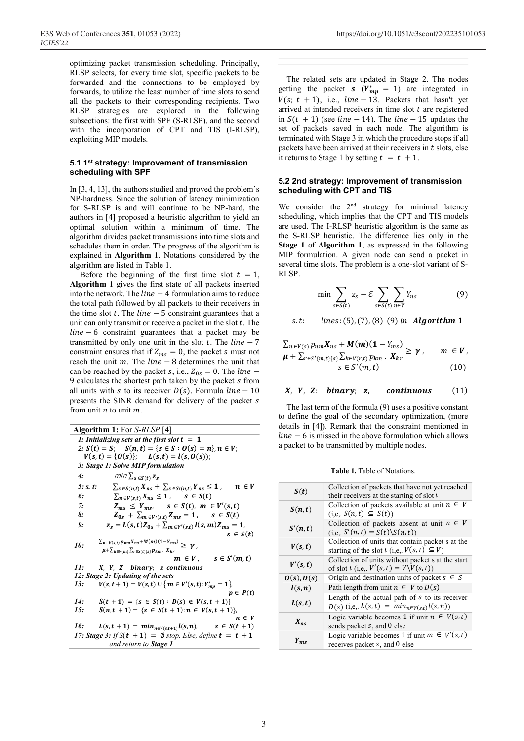optimizing packet transmission scheduling. Principally, RLSP selects, for every time slot, specific packets to be forwarded and the connections to be employed by forwards, to utilize the least number of time slots to send all the packets to their corresponding recipients. Two RLSP strategies are explored in the following subsections: the first with SPF (S-RLSP), and the second with the incorporation of CPT and TIS (I-RLSP), exploiting MIP models.

#### **5.1 1st strategy: Improvement of transmission scheduling with SPF**

In [3, 4, 13], the authors studied and proved the problem's NP-hardness. Since the solution of latency minimization for S-RLSP is and will continue to be NP-hard, the authors in [4] proposed a heuristic algorithm to yield an optimal solution within a minimum of time. The algorithm divides packet transmissions into time slots and schedules them in order. The progress of the algorithm is explained in **Algorithm 1**. Notations considered by the algorithm are listed in Table 1.

Before the beginning of the first time slot  $t = 1$ , **Algorithm 1** gives the first state of all packets inserted into the network. The  $line -4$  formulation aims to reduce the total path followed by all packets to their receivers in the time slot  $t$ . The  $line -5$  constraint guarantees that a unit can only transmit or receive a packet in the slot  $t$ . The  $line - 6$  constraint guarantees that a packet may be transmitted by only one unit in the slot  $t$ . The  $line - 7$ constraint ensures that if  $Z_{ms} = 0$ , the packet s must not reach the unit  $m$ . The  $line -8$  determines the unit that can be reached by the packet s, i.e.,  $Z_{0s} = 0$ . The *line* – 9 calculates the shortest path taken by the packet *s* from all units with s to its receiver  $D(s)$ . Formula  $line - 10$ presents the SINR demand for delivery of the packet from unit  $n$  to unit  $m$ .

| 1: Initializing sets at the first slot $t = 1$<br>2: $S(t) = S$ ; $S(n, t) = {s \in S : O(s) = n}, n \in V$ ;<br>$V(s,t) = {O(s)};$ $L(s,t) = l(s, O(s));$<br>3: Stage 1: Solve MIP formulation<br>4:<br>min $\sum_{s \in S(t)} z_s$<br>5: s. t.<br>$\sum_{s \in S(n,t)} X_{ns} + \sum_{s \in S'(n,t)} Y_{ns} \le 1$ ,<br>$n \in V$<br>6:<br>$\sum_{n \in V(s,t)} X_{ns} \leq 1$ , $s \in S(t)$<br>$Z_{ms} \leq Y_{ms}$ , $s \in S(t)$ , $m \in V'(s,t)$<br>7:<br>8:<br>$Z_{0s} + \sum_{m \in V'(s,t)} Z_{ms} = 1$ , $s \in S(t)$<br>$z_s = L(s, t)Z_{0s} + \sum_{m \in V'(s,t)} l(s, m)Z_{ms} = 1$<br>9:<br>$s \in S(t)$<br>$\frac{\sum_{n\in V(s,t)} p_{nm}X_{ns}+M(m)(1-Y_{ms})}{\mu+\sum_{k\in V(m)}\sum_{r\in S(t)\{s\}} p_{km}\,.\,X_{kr}}\geq \,\gamma\;,$<br>10:<br>$m \in V$ , $s \in S'(m,t)$<br>11:<br>X, Y, Z binary; z continuous<br>12: Stage 2: Updating of the sets<br>$V(s,t+1) = V(s,t) \cup \{ m \in V'(s,t): Y_{mp}^* = 1 \},$<br>13:<br>$p \in P(t)$<br>14:<br>$S(t + 1) = \{s \in S(t) : D(s) \notin V(s, t + 1)\}\$<br>15:<br>$S(n, t + 1) = \{s \in S(t + 1): n \in V(s, t + 1)\}\,$<br>$n \in V$<br>16:<br>$L(s,t+1) = min_{n \in V(s,t+1)} l(s,n), \qquad s \in S(t+1)$<br>17: Stage 3: If $S(t + 1) = \emptyset$ stop. Else, define $t = t + 1$ | <b>Algorithm 1:</b> For <i>S-RLSP</i> [4] |  |  |
|----------------------------------------------------------------------------------------------------------------------------------------------------------------------------------------------------------------------------------------------------------------------------------------------------------------------------------------------------------------------------------------------------------------------------------------------------------------------------------------------------------------------------------------------------------------------------------------------------------------------------------------------------------------------------------------------------------------------------------------------------------------------------------------------------------------------------------------------------------------------------------------------------------------------------------------------------------------------------------------------------------------------------------------------------------------------------------------------------------------------------------------------------------------------------------------------------------------------------------------------------------------------------|-------------------------------------------|--|--|
|                                                                                                                                                                                                                                                                                                                                                                                                                                                                                                                                                                                                                                                                                                                                                                                                                                                                                                                                                                                                                                                                                                                                                                                                                                                                            |                                           |  |  |
|                                                                                                                                                                                                                                                                                                                                                                                                                                                                                                                                                                                                                                                                                                                                                                                                                                                                                                                                                                                                                                                                                                                                                                                                                                                                            |                                           |  |  |
|                                                                                                                                                                                                                                                                                                                                                                                                                                                                                                                                                                                                                                                                                                                                                                                                                                                                                                                                                                                                                                                                                                                                                                                                                                                                            |                                           |  |  |
|                                                                                                                                                                                                                                                                                                                                                                                                                                                                                                                                                                                                                                                                                                                                                                                                                                                                                                                                                                                                                                                                                                                                                                                                                                                                            |                                           |  |  |
|                                                                                                                                                                                                                                                                                                                                                                                                                                                                                                                                                                                                                                                                                                                                                                                                                                                                                                                                                                                                                                                                                                                                                                                                                                                                            |                                           |  |  |
|                                                                                                                                                                                                                                                                                                                                                                                                                                                                                                                                                                                                                                                                                                                                                                                                                                                                                                                                                                                                                                                                                                                                                                                                                                                                            |                                           |  |  |
|                                                                                                                                                                                                                                                                                                                                                                                                                                                                                                                                                                                                                                                                                                                                                                                                                                                                                                                                                                                                                                                                                                                                                                                                                                                                            |                                           |  |  |
|                                                                                                                                                                                                                                                                                                                                                                                                                                                                                                                                                                                                                                                                                                                                                                                                                                                                                                                                                                                                                                                                                                                                                                                                                                                                            |                                           |  |  |
|                                                                                                                                                                                                                                                                                                                                                                                                                                                                                                                                                                                                                                                                                                                                                                                                                                                                                                                                                                                                                                                                                                                                                                                                                                                                            |                                           |  |  |
|                                                                                                                                                                                                                                                                                                                                                                                                                                                                                                                                                                                                                                                                                                                                                                                                                                                                                                                                                                                                                                                                                                                                                                                                                                                                            |                                           |  |  |
|                                                                                                                                                                                                                                                                                                                                                                                                                                                                                                                                                                                                                                                                                                                                                                                                                                                                                                                                                                                                                                                                                                                                                                                                                                                                            |                                           |  |  |
|                                                                                                                                                                                                                                                                                                                                                                                                                                                                                                                                                                                                                                                                                                                                                                                                                                                                                                                                                                                                                                                                                                                                                                                                                                                                            |                                           |  |  |
|                                                                                                                                                                                                                                                                                                                                                                                                                                                                                                                                                                                                                                                                                                                                                                                                                                                                                                                                                                                                                                                                                                                                                                                                                                                                            |                                           |  |  |
|                                                                                                                                                                                                                                                                                                                                                                                                                                                                                                                                                                                                                                                                                                                                                                                                                                                                                                                                                                                                                                                                                                                                                                                                                                                                            |                                           |  |  |
|                                                                                                                                                                                                                                                                                                                                                                                                                                                                                                                                                                                                                                                                                                                                                                                                                                                                                                                                                                                                                                                                                                                                                                                                                                                                            |                                           |  |  |
|                                                                                                                                                                                                                                                                                                                                                                                                                                                                                                                                                                                                                                                                                                                                                                                                                                                                                                                                                                                                                                                                                                                                                                                                                                                                            |                                           |  |  |
|                                                                                                                                                                                                                                                                                                                                                                                                                                                                                                                                                                                                                                                                                                                                                                                                                                                                                                                                                                                                                                                                                                                                                                                                                                                                            |                                           |  |  |
|                                                                                                                                                                                                                                                                                                                                                                                                                                                                                                                                                                                                                                                                                                                                                                                                                                                                                                                                                                                                                                                                                                                                                                                                                                                                            |                                           |  |  |
|                                                                                                                                                                                                                                                                                                                                                                                                                                                                                                                                                                                                                                                                                                                                                                                                                                                                                                                                                                                                                                                                                                                                                                                                                                                                            |                                           |  |  |
|                                                                                                                                                                                                                                                                                                                                                                                                                                                                                                                                                                                                                                                                                                                                                                                                                                                                                                                                                                                                                                                                                                                                                                                                                                                                            |                                           |  |  |
|                                                                                                                                                                                                                                                                                                                                                                                                                                                                                                                                                                                                                                                                                                                                                                                                                                                                                                                                                                                                                                                                                                                                                                                                                                                                            |                                           |  |  |
|                                                                                                                                                                                                                                                                                                                                                                                                                                                                                                                                                                                                                                                                                                                                                                                                                                                                                                                                                                                                                                                                                                                                                                                                                                                                            |                                           |  |  |
|                                                                                                                                                                                                                                                                                                                                                                                                                                                                                                                                                                                                                                                                                                                                                                                                                                                                                                                                                                                                                                                                                                                                                                                                                                                                            |                                           |  |  |
| and return to <b>Stage 1</b>                                                                                                                                                                                                                                                                                                                                                                                                                                                                                                                                                                                                                                                                                                                                                                                                                                                                                                                                                                                                                                                                                                                                                                                                                                               |                                           |  |  |

 The related sets are updated in Stage 2. The nodes getting the packet **s** ( $Y_{mp}^* = 1$ ) are integrated in  $V(s; t + 1)$ , i.e.,  $line -13$ . Packets that hasn't yet arrived at intended receivers in time slot  $t$  are registered in  $S(t + 1)$  (see *line* - 14). The *line* - 15 updates the set of packets saved in each node. The algorithm is terminated with Stage 3 in which the procedure stops if all packets have been arrived at their receivers in  $t$  slots, else it returns to Stage 1 by setting  $t = t + 1$ .

#### **5.2 2nd strategy: Improvement of transmission scheduling with CPT and TIS**

We consider the  $2<sup>nd</sup>$  strategy for minimal latency scheduling, which implies that the CPT and TIS models are used. The I-RLSP heuristic algorithm is the same as the S-RLSP heuristic. The difference lies only in the **Stage 1** of **Algorithm 1**, as expressed in the following MIP formulation. A given node can send a packet in several time slots. The problem is a one-slot variant of S-RLSP.

$$
\min \sum_{s \in S(t)} z_s - \mathcal{E} \sum_{s \in S(t)} \sum_{n \in V} Y_{ns} \tag{9}
$$

s.t:  $lines: (5), (7), (8)$  (9) in **Algorithm 1** 

$$
\frac{\sum_{n \in V(s)} p_{nm} X_{ns} + M(m)(1 - Y_{ms})}{\mu + \sum_{r \in S'} \{m, t\} \{s\}} \frac{\sum_{k \in V(r,t)} p_{km} \cdot X_{kr}}{s \in S'(m, t)} \ge \gamma, \qquad m \in V,
$$
\n(10)

## $X, Y, Z$ : binary; z, continuous (11)

 The last term of the formula (9) uses a positive constant to define the goal of the secondary optimization, (more details in [4]). Remark that the constraint mentioned in  $line - 6$  is missed in the above formulation which allows a packet to be transmitted by multiple nodes.

**Table 1.** Table of Notations.

| S(t)                                      | Collection of packets that have not yet reached<br>their receivers at the starting of slot $t$           |
|-------------------------------------------|----------------------------------------------------------------------------------------------------------|
| S(n,t)                                    | Collection of packets available at unit $n \in V$<br>$(i,e, S(n,t) \subseteq S(t))$                      |
| S'(n,t)                                   | Collection of packets absent at unit $n \in V$<br>$(i,e, S'(n,t) = S(t) \setminus S(n,t))$               |
| V(s,t)                                    | Collection of units that contain packet s at the<br>starting of the slot t (i,e, $V(s, t) \subseteq V$ ) |
| V'(s,t)                                   | Collection of units without packet s at the start<br>of slot $t$ (i,e,. $V'(s,t) = V \setminus V(s,t)$ ) |
| $\boldsymbol{0}(s)$ , $\boldsymbol{D}(s)$ | Origin and destination units of packet $s \in S$                                                         |
| l(s,n)                                    | Path length from unit $n \in V$ to $D(s)$                                                                |
| L(s,t)                                    | Length of the actual path of $s$ to its receiver<br>$D(s)$ (i,e,. $L(s,t) = min_{n \in V(s,t)} l(s,n)$ ) |
| $X_{ns}$                                  | Logic variable becomes 1 if unit $n \in V(s,t)$<br>sends packet s, and 0 else                            |
| $Y_{ms}$                                  | Logic variable becomes 1 if unit $m \in V'(s,t)$<br>receives packet s, and 0 else                        |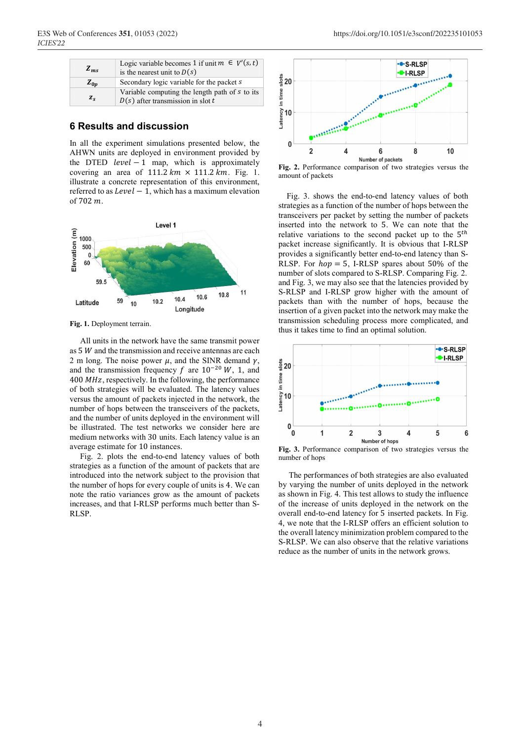| $Z_{ms}$    | Logic variable becomes 1 if unit $m \in V'(s, t)$<br>is the nearest unit to $D(s)$    |
|-------------|---------------------------------------------------------------------------------------|
| $Z_{0n}$    | Secondary logic variable for the packet s                                             |
| $Z_{\rm c}$ | Variable computing the length path of s to its<br>$D(s)$ after transmission in slot t |

## **6 Results and discussion**

In all the experiment simulations presented below, the AHWN units are deployed in environment provided by the DTED  $level - 1$  map, which is approximately covering an area of  $111.2 \, km \times 111.2 \, km$ . Fig. 1. illustrate a concrete representation of this environment, referred to as  $Level - 1$ , which has a maximum elevation of  $702 m$ 



**Fig. 1.** Deployment terrain.

 All units in the network have the same transmit power as  $5 W$  and the transmission and receive antennas are each 2 m long. The noise power  $\mu$ , and the SINR demand  $\gamma$ , and the transmission frequency f are  $10^{-20}$  W, 1, and 400  $MHz$ , respectively. In the following, the performance of both strategies will be evaluated. The latency values versus the amount of packets injected in the network, the number of hops between the transceivers of the packets, and the number of units deployed in the environment will be illustrated. The test networks we consider here are medium networks with 30 units. Each latency value is an average estimate for 10 instances.

 Fig. 2. plots the end-to-end latency values of both strategies as a function of the amount of packets that are introduced into the network subject to the provision that the number of hops for every couple of units is 4. We can note the ratio variances grow as the amount of packets increases, and that I-RLSP performs much better than S-RLSP.



**Fig. 2.** Performance comparison of two strategies versus the amount of packets

 Fig. 3. shows the end-to-end latency values of both strategies as a function of the number of hops between the transceivers per packet by setting the number of packets inserted into the network to 5. We can note that the relative variations to the second packet up to the  $5<sup>th</sup>$ packet increase significantly. It is obvious that I-RLSP provides a significantly better end-to-end latency than S-RLSP. For  $hop = 5$ , I-RLSP spares about 50% of the number of slots compared to S-RLSP. Comparing Fig. 2. and Fig. 3, we may also see that the latencies provided by S-RLSP and I-RLSP grow higher with the amount of packets than with the number of hops, because the insertion of a given packet into the network may make the transmission scheduling process more complicated, and thus it takes time to find an optimal solution.



**Fig. 3.** Performance comparison of two strategies versus the number of hops

 The performances of both strategies are also evaluated by varying the number of units deployed in the network as shown in Fig. 4. This test allows to study the influence of the increase of units deployed in the network on the overall end-to-end latency for 5 inserted packets. In Fig. 4, we note that the I-RLSP offers an efficient solution to the overall latency minimization problem compared to the S-RLSP. We can also observe that the relative variations reduce as the number of units in the network grows.